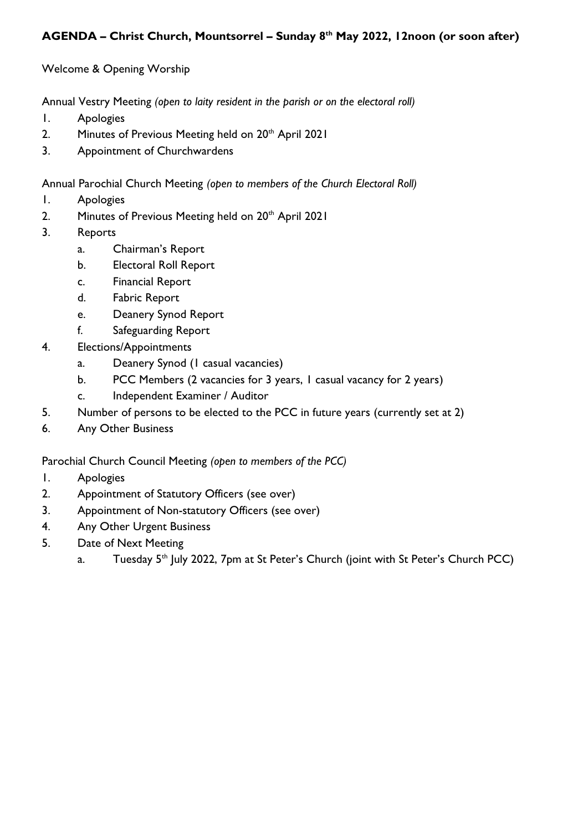## **AGENDA – Christ Church, Mountsorrel – Sunday 8th May 2022, 12noon (or soon after)**

Welcome & Opening Worship

Annual Vestry Meeting *(open to laity resident in the parish or on the electoral roll)*

- 1. Apologies
- 2. Minutes of Previous Meeting held on 20<sup>th</sup> April 2021
- 3. Appointment of Churchwardens

Annual Parochial Church Meeting *(open to members of the Church Electoral Roll)*

- 1. Apologies
- 2. Minutes of Previous Meeting held on 20<sup>th</sup> April 2021
- 3. Reports
	- a. Chairman's Report
	- b. Electoral Roll Report
	- c. Financial Report
	- d. Fabric Report
	- e. Deanery Synod Report
	- f. Safeguarding Report
- 4. Elections/Appointments
	- a. Deanery Synod (1 casual vacancies)
	- b. PCC Members (2 vacancies for 3 years, 1 casual vacancy for 2 years)
	- c. Independent Examiner / Auditor
- 5. Number of persons to be elected to the PCC in future years (currently set at 2)
- 6. Any Other Business

Parochial Church Council Meeting *(open to members of the PCC)*

- 1. Apologies
- 2. Appointment of Statutory Officers (see over)
- 3. Appointment of Non-statutory Officers (see over)
- 4. Any Other Urgent Business
- 5. Date of Next Meeting
	- a. Tuesday 5<sup>th</sup> July 2022, 7pm at St Peter's Church (joint with St Peter's Church PCC)